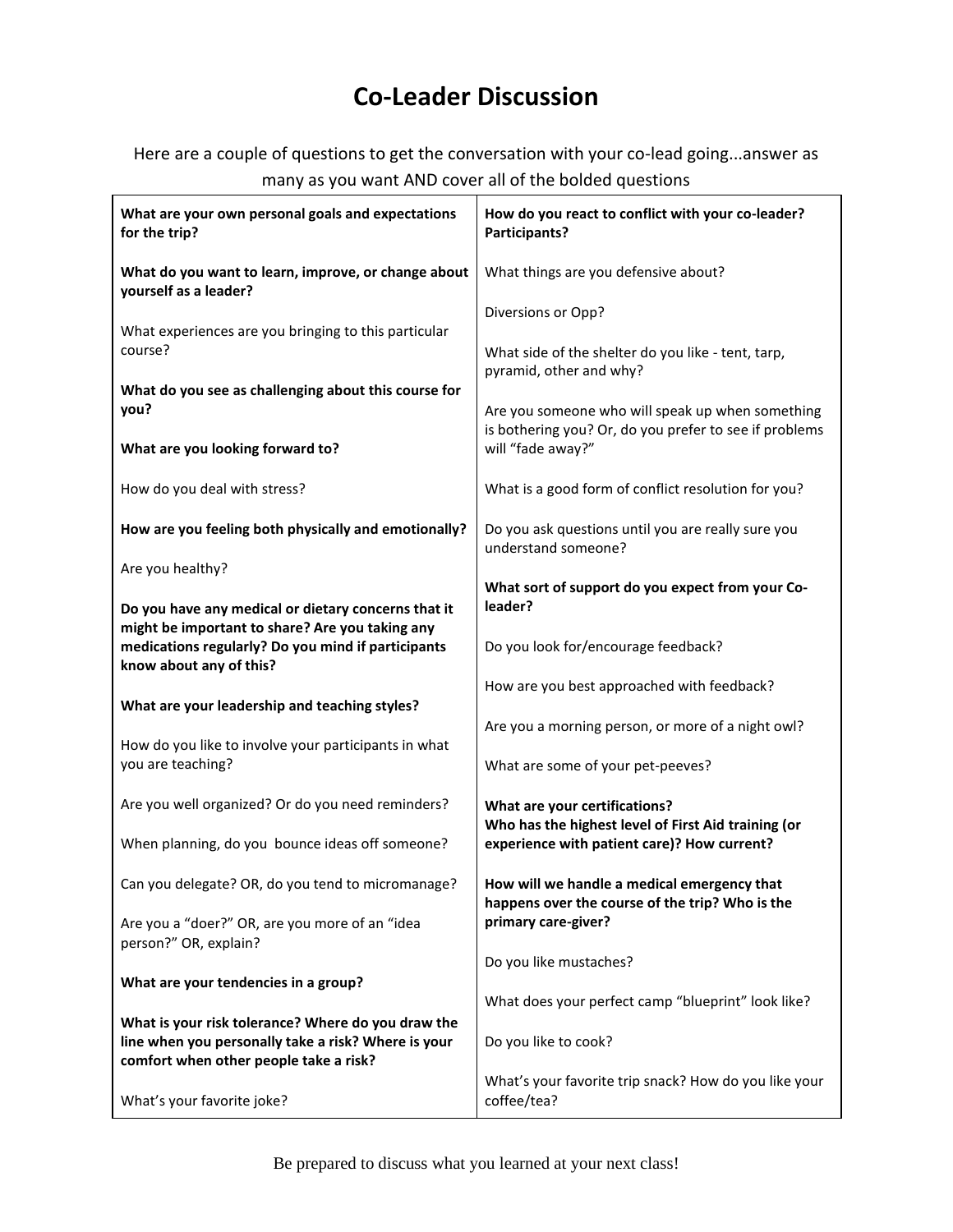## **Co-Leader Discussion**

Here are a couple of questions to get the conversation with your co-lead going...answer as many as you want AND cover all of the bolded questions

| What are your own personal goals and expectations<br>for the trip?                                                                                                                      | How do you react to conflict with your co-leader?<br>Participants?                                                                  |  |
|-----------------------------------------------------------------------------------------------------------------------------------------------------------------------------------------|-------------------------------------------------------------------------------------------------------------------------------------|--|
| What do you want to learn, improve, or change about<br>yourself as a leader?                                                                                                            | What things are you defensive about?                                                                                                |  |
| What experiences are you bringing to this particular                                                                                                                                    | Diversions or Opp?                                                                                                                  |  |
| course?                                                                                                                                                                                 | What side of the shelter do you like - tent, tarp,                                                                                  |  |
| What do you see as challenging about this course for                                                                                                                                    | pyramid, other and why?                                                                                                             |  |
| you?                                                                                                                                                                                    | Are you someone who will speak up when something<br>is bothering you? Or, do you prefer to see if problems                          |  |
| What are you looking forward to?                                                                                                                                                        | will "fade away?"                                                                                                                   |  |
| How do you deal with stress?                                                                                                                                                            | What is a good form of conflict resolution for you?                                                                                 |  |
| How are you feeling both physically and emotionally?                                                                                                                                    | Do you ask questions until you are really sure you<br>understand someone?                                                           |  |
| Are you healthy?                                                                                                                                                                        | What sort of support do you expect from your Co-                                                                                    |  |
| Do you have any medical or dietary concerns that it<br>might be important to share? Are you taking any<br>medications regularly? Do you mind if participants<br>know about any of this? | leader?                                                                                                                             |  |
|                                                                                                                                                                                         | Do you look for/encourage feedback?                                                                                                 |  |
| What are your leadership and teaching styles?                                                                                                                                           | How are you best approached with feedback?                                                                                          |  |
|                                                                                                                                                                                         | Are you a morning person, or more of a night owl?                                                                                   |  |
| How do you like to involve your participants in what<br>you are teaching?                                                                                                               | What are some of your pet-peeves?                                                                                                   |  |
| Are you well organized? Or do you need reminders?                                                                                                                                       | What are your certifications?<br>Who has the highest level of First Aid training (or<br>experience with patient care)? How current? |  |
| When planning, do you bounce ideas off someone?                                                                                                                                         |                                                                                                                                     |  |
| Can you delegate? OR, do you tend to micromanage?                                                                                                                                       | How will we handle a medical emergency that<br>happens over the course of the trip? Who is the<br>primary care-giver?               |  |
| Are you a "doer?" OR, are you more of an "idea<br>person?" OR, explain?                                                                                                                 |                                                                                                                                     |  |
|                                                                                                                                                                                         | Do you like mustaches?                                                                                                              |  |
| What are your tendencies in a group?                                                                                                                                                    | What does your perfect camp "blueprint" look like?                                                                                  |  |
| What is your risk tolerance? Where do you draw the<br>line when you personally take a risk? Where is your<br>comfort when other people take a risk?                                     | Do you like to cook?                                                                                                                |  |
| What's your favorite joke?                                                                                                                                                              | What's your favorite trip snack? How do you like your<br>coffee/tea?                                                                |  |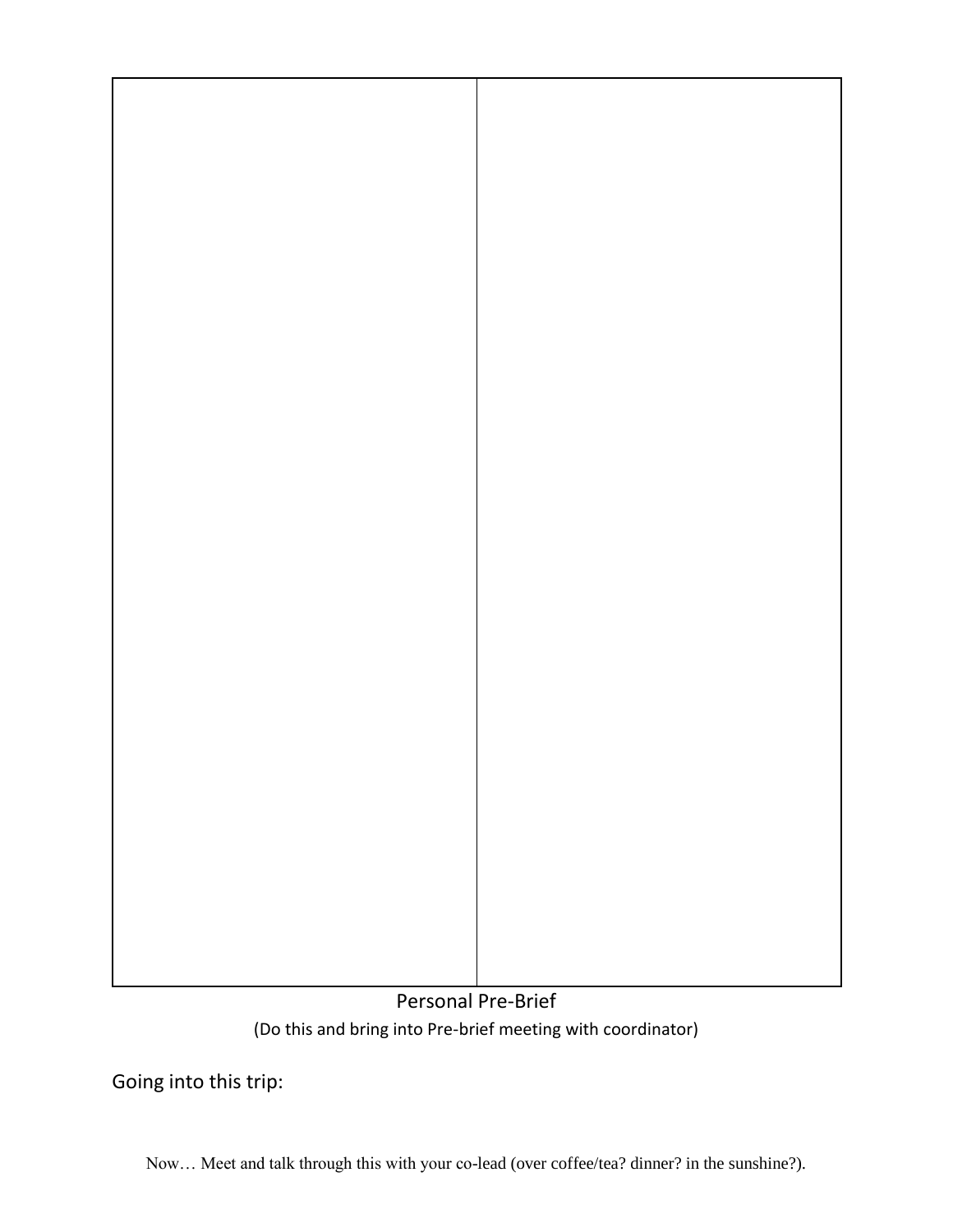

## Personal Pre-Brief (Do this and bring into Pre-brief meeting with coordinator)

Going into this trip:

Now… Meet and talk through this with your co-lead (over coffee/tea? dinner? in the sunshine?).